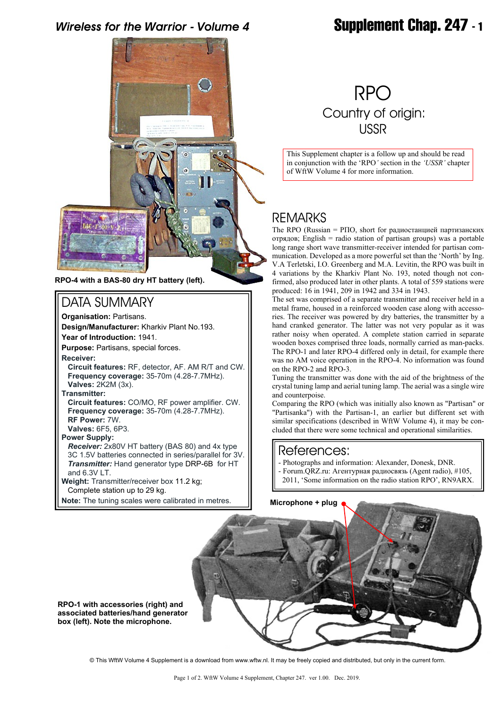# *Wireless for the Warrior - Volume 4* **Supplement Chap. 247 - 1**



**RPO-4 with a BAS-80 dry HT battery (left).**

## DATA SUMMARY

**Organisation:** Partisans. **Design/Manufacturer:** Kharkiv Plant No.193. **Year of Introduction:** 1941. **Purpose:** Partisans, special forces.

**Receiver:**

**Circuit features:** RF, detector, AF. AM R/T and CW.  **Frequency coverage:** 35-70m (4.28-7.7MHz).  **Valves:** 2K2M (3x).

**Transmitter:**

 **Circuit features:** CO/MO, RF power amplifier. CW.  **Frequency coverage:** 35-70m (4.28-7.7MHz). **RF Power:** 7W.

 **Valves:** 6F5, 6P3.

**Power Supply:**

*Receiver:* 2x80V HT battery (BAS 80) and 4x type 3C 1.5V batteries connected in series/parallel for 3V. *Transmitter:* Hand generator type DRP-6B for HT and 6.3V LT.

**Weight:** Transmitter/receiver box 11.2 kg; Complete station up to 29 kg.

**Note:** The tuning scales were calibrated in metres.

# RPO Country of origin: USSR

This Supplement chapter is a follow up and should be read in conjunction with the 'RPO*'* section in the *'USSR'* chapter of WftW Volume 4 for more information.

## REMARKS

The RPO (Russian = РПО, short for радиостанцией партизанских отрядов; English = radio station of partisan groups) was a portable long range short wave transmitter-receiver intended for partisan communication. Developed as a more powerful set than the 'North' by Ing. V.A Terletski, I.O. Greenberg and M.A. Levitin, the RPO was built in 4 variations by the Kharkiv Plant No. 193, noted though not confirmed, also produced later in other plants. A total of 559 stations were produced: 16 in 1941, 209 in 1942 and 334 in 1943.

The set was comprised of a separate transmitter and receiver held in a metal frame, housed in a reinforced wooden case along with accessories. The receiver was powered by dry batteries, the transmitter by a hand cranked generator. The latter was not very popular as it was rather noisy when operated. A complete station carried in separate wooden boxes comprised three loads, normally carried as man-packs. The RPO-1 and later RPO-4 differed only in detail, for example there was no AM voice operation in the RPO-4. No information was found on the RPO-2 and RPO-3.

Tuning the transmitter was done with the aid of the brightness of the crystal tuning lamp and aerial tuning lamp. The aerial was a single wire and counterpoise.

Comparing the RPO (which was initially also known as "Partisan" or "Partisanka") with the Partisan-1, an earlier but different set with similar specifications (described in WftW Volume 4), it may be concluded that there were some technical and operational similarities.

### References:

- Photographs and information: Alexander, Donesk, DNR.
- Forum.QRZ.ru: Агентурная радиосвязь (Agent radio), #105, 2011, 'Some information on the radio station RPO', RN9ARX.



**RPO-1 with accessories (right) and associated batteries/hand generator box (left). Note the microphone.**

© This WftW Volume 4 Supplement is a download from www.wftw.nl. It may be freely copied and distributed, but only in the current form.